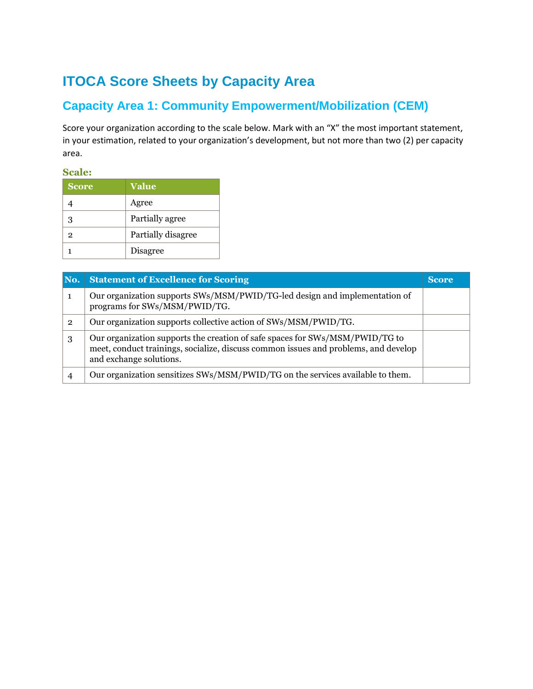# **ITOCA Score Sheets by Capacity Area**

### **Capacity Area 1: Community Empowerment/Mobilization (CEM)**

Score your organization according to the scale below. Mark with an "X" the most important statement, in your estimation, related to your organization's development, but not more than two (2) per capacity area.

**Scale:** 

| <b>Score</b>   | Value              |
|----------------|--------------------|
|                | Agree              |
| 3              | Partially agree    |
| $\overline{2}$ | Partially disagree |
|                | Disagree           |

| No.            | <b>Statement of Excellence for Scoring</b>                                                                                                                                                     | <b>Score</b> |
|----------------|------------------------------------------------------------------------------------------------------------------------------------------------------------------------------------------------|--------------|
| 1              | Our organization supports SWs/MSM/PWID/TG-led design and implementation of<br>programs for SWs/MSM/PWID/TG.                                                                                    |              |
| $\overline{2}$ | Our organization supports collective action of SWs/MSM/PWID/TG.                                                                                                                                |              |
| 3              | Our organization supports the creation of safe spaces for SWs/MSM/PWID/TG to<br>meet, conduct trainings, socialize, discuss common issues and problems, and develop<br>and exchange solutions. |              |
| 4              | Our organization sensitizes SWs/MSM/PWID/TG on the services available to them.                                                                                                                 |              |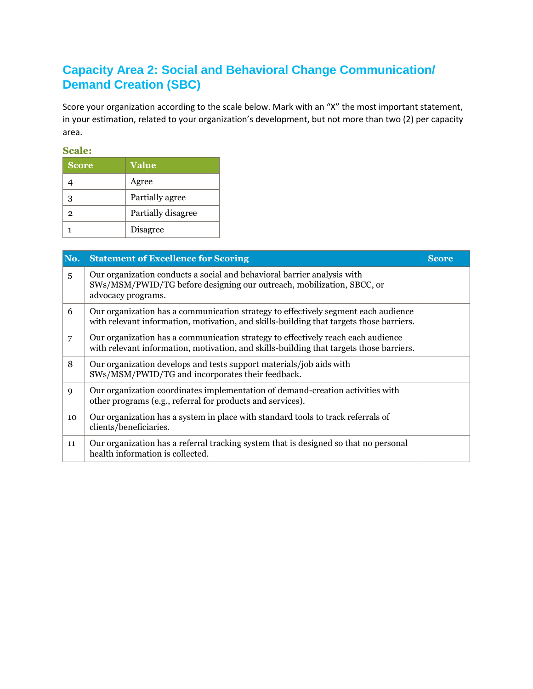### **Capacity Area 2: Social and Behavioral Change Communication/ Demand Creation (SBC)**

Score your organization according to the scale below. Mark with an "X" the most important statement, in your estimation, related to your organization's development, but not more than two (2) per capacity area.

| <b>Score</b> | Value              |
|--------------|--------------------|
|              | Agree              |
| 3            | Partially agree    |
| 2            | Partially disagree |
|              | Disagree           |

| No.            | <b>Statement of Excellence for Scoring</b>                                                                                                                                    | <b>Score</b> |
|----------------|-------------------------------------------------------------------------------------------------------------------------------------------------------------------------------|--------------|
| $\overline{5}$ | Our organization conducts a social and behavioral barrier analysis with<br>SWs/MSM/PWID/TG before designing our outreach, mobilization, SBCC, or<br>advocacy programs.        |              |
| 6              | Our organization has a communication strategy to effectively segment each audience<br>with relevant information, motivation, and skills-building that targets those barriers. |              |
| 7              | Our organization has a communication strategy to effectively reach each audience<br>with relevant information, motivation, and skills-building that targets those barriers.   |              |
| 8              | Our organization develops and tests support materials/job aids with<br>SWs/MSM/PWID/TG and incorporates their feedback.                                                       |              |
| 9              | Our organization coordinates implementation of demand-creation activities with<br>other programs (e.g., referral for products and services).                                  |              |
| 10             | Our organization has a system in place with standard tools to track referrals of<br>clients/beneficiaries.                                                                    |              |
| 11             | Our organization has a referral tracking system that is designed so that no personal<br>health information is collected.                                                      |              |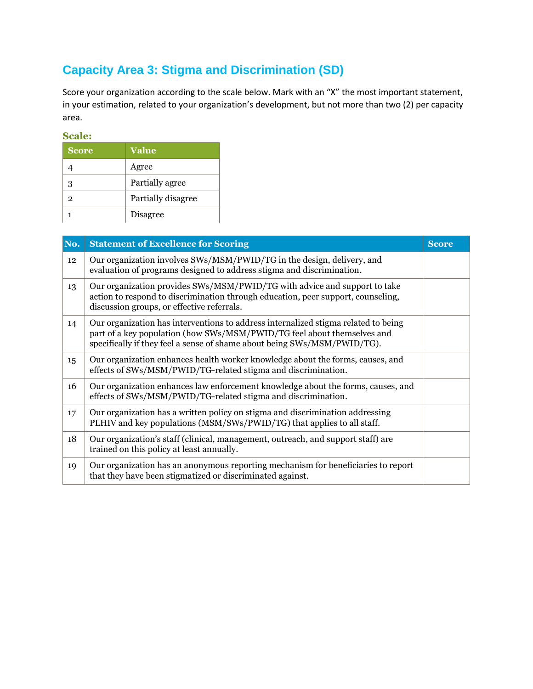## **Capacity Area 3: Stigma and Discrimination (SD)**

Score your organization according to the scale below. Mark with an "X" the most important statement, in your estimation, related to your organization's development, but not more than two (2) per capacity area.

| <b>Score</b>   | <b>Value</b>       |
|----------------|--------------------|
|                | Agree              |
| 3              | Partially agree    |
| $\overline{2}$ | Partially disagree |
|                | Disagree           |

| No. | <b>Statement of Excellence for Scoring</b>                                                                                                                                                                                                | <b>Score</b> |
|-----|-------------------------------------------------------------------------------------------------------------------------------------------------------------------------------------------------------------------------------------------|--------------|
| 12  | Our organization involves SWs/MSM/PWID/TG in the design, delivery, and<br>evaluation of programs designed to address stigma and discrimination.                                                                                           |              |
| 13  | Our organization provides SWs/MSM/PWID/TG with advice and support to take<br>action to respond to discrimination through education, peer support, counseling,<br>discussion groups, or effective referrals.                               |              |
| 14  | Our organization has interventions to address internalized stigma related to being<br>part of a key population (how SWs/MSM/PWID/TG feel about themselves and<br>specifically if they feel a sense of shame about being SWs/MSM/PWID/TG). |              |
| 15  | Our organization enhances health worker knowledge about the forms, causes, and<br>effects of SWs/MSM/PWID/TG-related stigma and discrimination.                                                                                           |              |
| 16  | Our organization enhances law enforcement knowledge about the forms, causes, and<br>effects of SWs/MSM/PWID/TG-related stigma and discrimination.                                                                                         |              |
| 17  | Our organization has a written policy on stigma and discrimination addressing<br>PLHIV and key populations (MSM/SWs/PWID/TG) that applies to all staff.                                                                                   |              |
| 18  | Our organization's staff (clinical, management, outreach, and support staff) are<br>trained on this policy at least annually.                                                                                                             |              |
| 19  | Our organization has an anonymous reporting mechanism for beneficiaries to report<br>that they have been stigmatized or discriminated against.                                                                                            |              |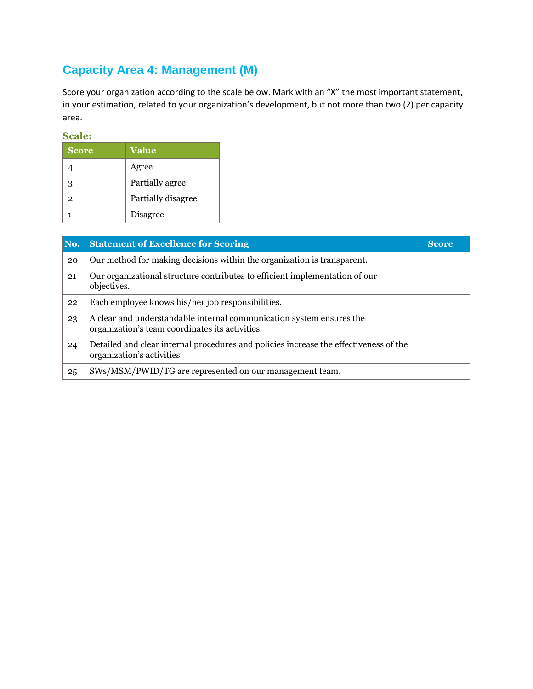## **Capacity Area 4: Management (M)**

Score your organization according to the scale below. Mark with an "X" the most important statement, in your estimation, related to your organization's development, but not more than two (2) per capacity area.

| <b>Score</b>   | <b>Value</b>       |
|----------------|--------------------|
|                | Agree              |
| з              | Partially agree    |
| $\overline{2}$ | Partially disagree |
|                | Disagree           |

| No. | <b>Statement of Excellence for Scoring</b>                                                                              | <b>Score</b> |
|-----|-------------------------------------------------------------------------------------------------------------------------|--------------|
| 20  | Our method for making decisions within the organization is transparent.                                                 |              |
| 21  | Our organizational structure contributes to efficient implementation of our<br>objectives.                              |              |
| 22  | Each employee knows his/her job responsibilities.                                                                       |              |
| 23  | A clear and understandable internal communication system ensures the<br>organization's team coordinates its activities. |              |
| 24  | Detailed and clear internal procedures and policies increase the effectiveness of the<br>organization's activities.     |              |
| 25  | SWs/MSM/PWID/TG are represented on our management team.                                                                 |              |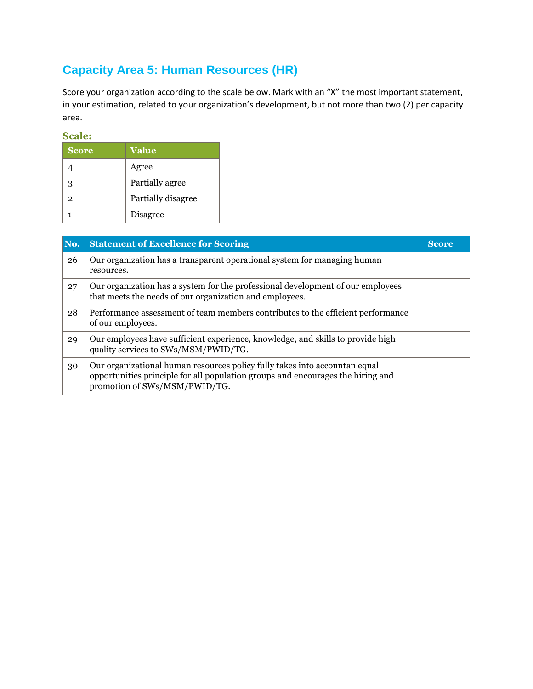## **Capacity Area 5: Human Resources (HR)**

Score your organization according to the scale below. Mark with an "X" the most important statement, in your estimation, related to your organization's development, but not more than two (2) per capacity area.

| <b>Score</b>   | <b>Value</b>       |
|----------------|--------------------|
|                | Agree              |
| 3              | Partially agree    |
| $\overline{2}$ | Partially disagree |
|                | Disagree           |

| No. | <b>Statement of Excellence for Scoring</b>                                                                                                                                                     | <b>Score</b> |
|-----|------------------------------------------------------------------------------------------------------------------------------------------------------------------------------------------------|--------------|
| 26  | Our organization has a transparent operational system for managing human<br>resources.                                                                                                         |              |
| 27  | Our organization has a system for the professional development of our employees<br>that meets the needs of our organization and employees.                                                     |              |
| 28  | Performance assessment of team members contributes to the efficient performance<br>of our employees.                                                                                           |              |
| 29  | Our employees have sufficient experience, knowledge, and skills to provide high<br>quality services to SWs/MSM/PWID/TG.                                                                        |              |
| 30  | Our organizational human resources policy fully takes into accountan equal<br>opportunities principle for all population groups and encourages the hiring and<br>promotion of SWs/MSM/PWID/TG. |              |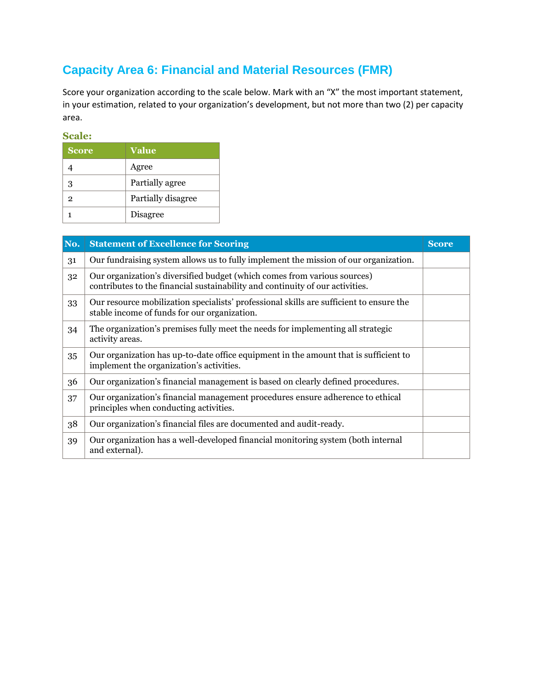## **Capacity Area 6: Financial and Material Resources (FMR)**

Score your organization according to the scale below. Mark with an "X" the most important statement, in your estimation, related to your organization's development, but not more than two (2) per capacity area.

| <b>Score</b>   | <b>Value</b>       |
|----------------|--------------------|
|                | Agree              |
| з              | Partially agree    |
| $\overline{2}$ | Partially disagree |
|                | <b>Disagree</b>    |

| No. | <b>Statement of Excellence for Scoring</b>                                                                                                                | <b>Score</b> |
|-----|-----------------------------------------------------------------------------------------------------------------------------------------------------------|--------------|
| 31  | Our fundraising system allows us to fully implement the mission of our organization.                                                                      |              |
| 32  | Our organization's diversified budget (which comes from various sources)<br>contributes to the financial sustainability and continuity of our activities. |              |
| 33  | Our resource mobilization specialists' professional skills are sufficient to ensure the<br>stable income of funds for our organization.                   |              |
| 34  | The organization's premises fully meet the needs for implementing all strategic<br>activity areas.                                                        |              |
| 35  | Our organization has up-to-date office equipment in the amount that is sufficient to<br>implement the organization's activities.                          |              |
| 36  | Our organization's financial management is based on clearly defined procedures.                                                                           |              |
| 37  | Our organization's financial management procedures ensure adherence to ethical<br>principles when conducting activities.                                  |              |
| 38  | Our organization's financial files are documented and audit-ready.                                                                                        |              |
| 39  | Our organization has a well-developed financial monitoring system (both internal<br>and external).                                                        |              |